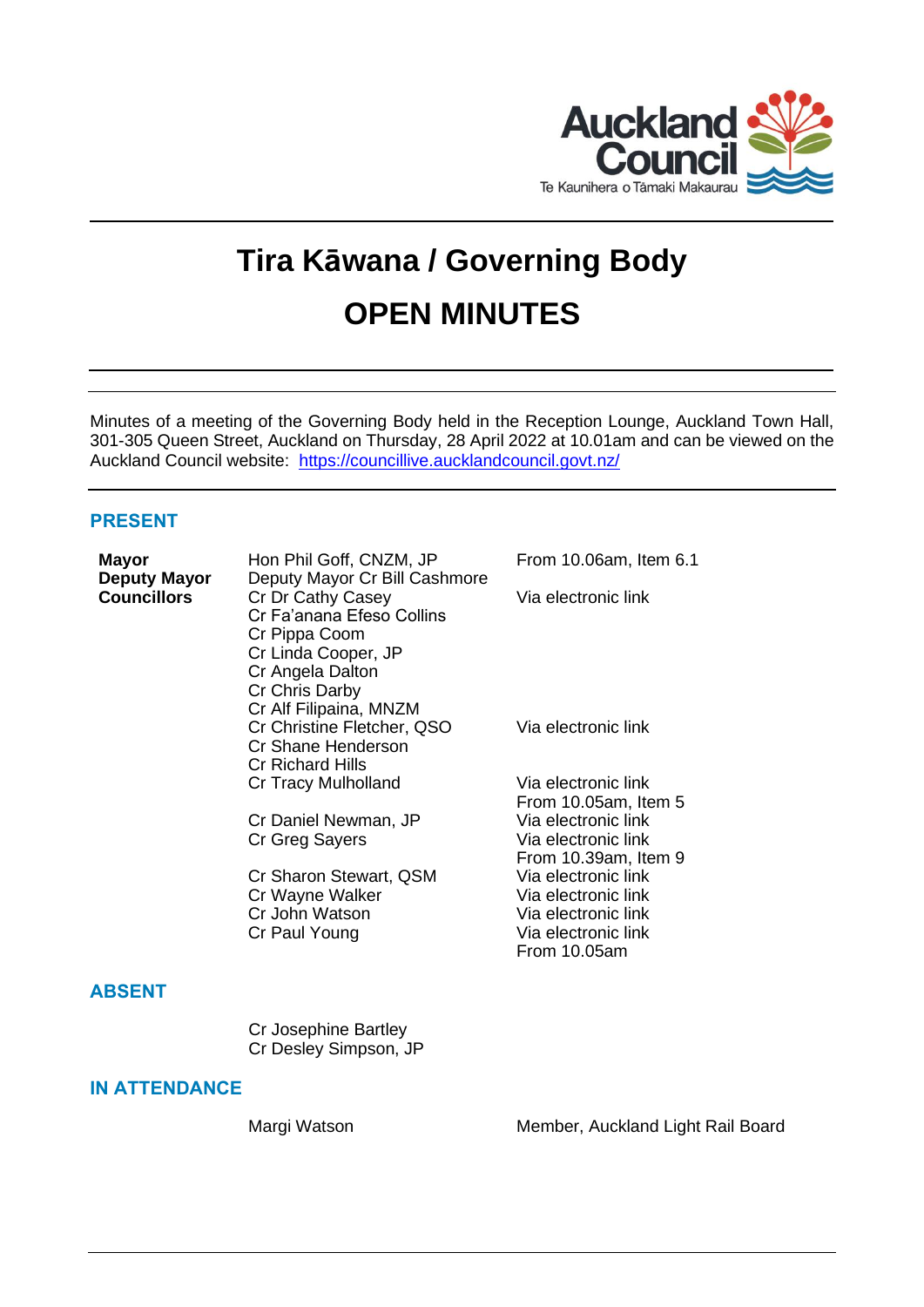

# **Tira Kāwana / Governing Body OPEN MINUTES**

Minutes of a meeting of the Governing Body held in the Reception Lounge, Auckland Town Hall, 301-305 Queen Street, Auckland on Thursday, 28 April 2022 at 10.01am and can be viewed on the Auckland Council website: <https://councillive.aucklandcouncil.govt.nz/>

# **PRESENT**

| <b>Mayor</b><br><b>Deputy Mayor</b> | Hon Phil Goff, CNZM, JP<br>Deputy Mayor Cr Bill Cashmore                                                                                               | From 10.06am, Item 6.1                                                                                   |
|-------------------------------------|--------------------------------------------------------------------------------------------------------------------------------------------------------|----------------------------------------------------------------------------------------------------------|
| <b>Councillors</b>                  | Cr Dr Cathy Casey<br>Cr Fa'anana Efeso Collins<br>Cr Pippa Coom<br>Cr Linda Cooper, JP<br>Cr Angela Dalton<br>Cr Chris Darby<br>Cr Alf Filipaina, MNZM | Via electronic link                                                                                      |
|                                     | Cr Christine Fletcher, QSO<br>Cr Shane Henderson<br><b>Cr Richard Hills</b>                                                                            | Via electronic link                                                                                      |
|                                     | Cr Tracy Mulholland                                                                                                                                    | Via electronic link<br>From 10.05am, Item 5                                                              |
|                                     | Cr Daniel Newman, JP<br>Cr Greg Sayers                                                                                                                 | Via electronic link<br>Via electronic link<br>From 10.39am, Item 9                                       |
|                                     | Cr Sharon Stewart, QSM<br>Cr Wayne Walker<br>Cr John Watson<br>Cr Paul Young                                                                           | Via electronic link<br>Via electronic link<br>Via electronic link<br>Via electronic link<br>From 10.05am |
| <b>ABSENT</b>                       |                                                                                                                                                        |                                                                                                          |
|                                     | Cr Josephine Bartley<br>Cr Desley Simpson, JP                                                                                                          |                                                                                                          |
| <b>IN ATTENDANCE</b>                |                                                                                                                                                        |                                                                                                          |

Margi Watson Member, Auckland Light Rail Board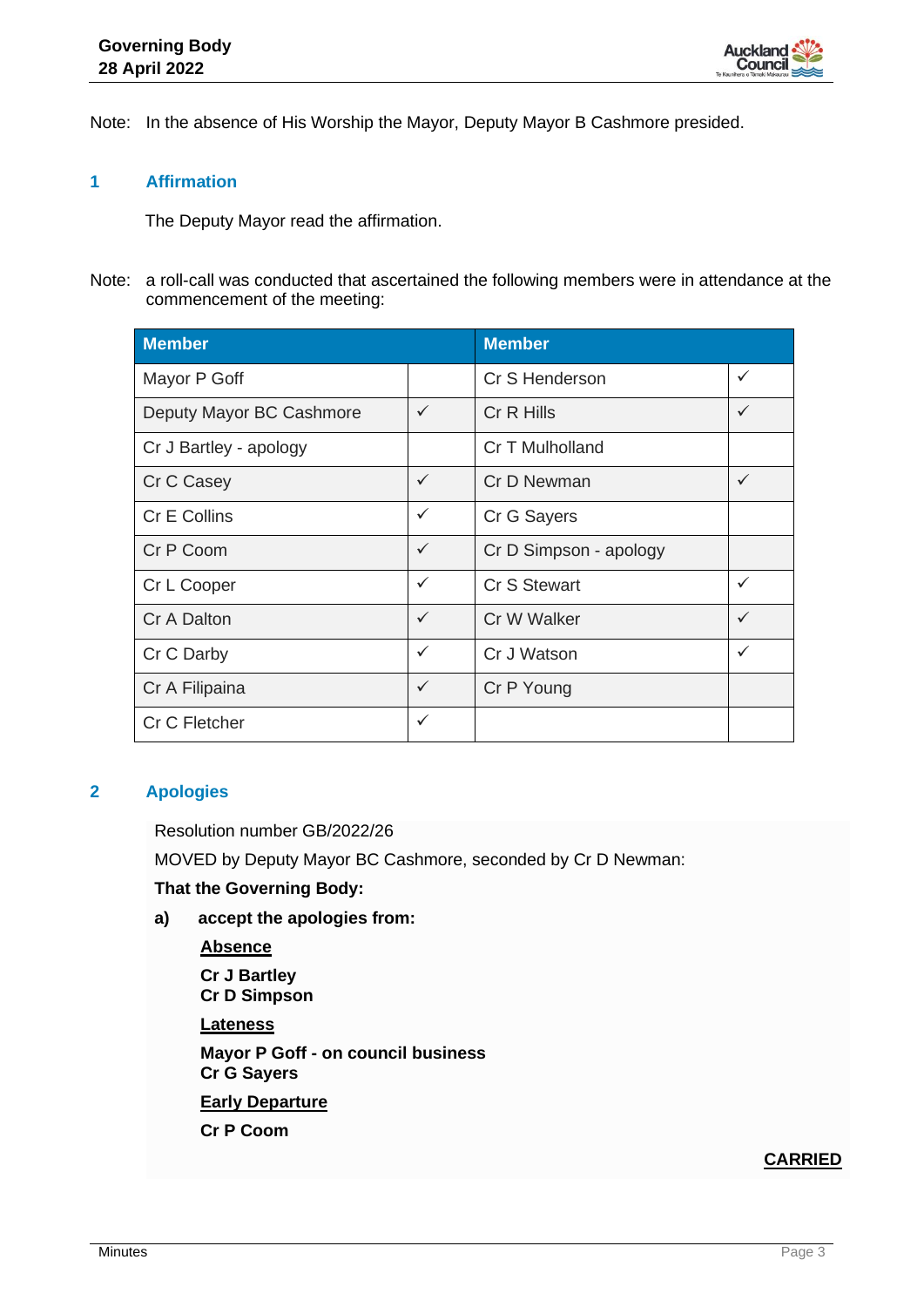

Note: In the absence of His Worship the Mayor, Deputy Mayor B Cashmore presided.

# **1 Affirmation**

The Deputy Mayor read the affirmation.

Note: a roll-call was conducted that ascertained the following members were in attendance at the commencement of the meeting:

| <b>Member</b>            | <b>Member</b> |                        |              |
|--------------------------|---------------|------------------------|--------------|
| Mayor P Goff             |               | Cr S Henderson         | $\checkmark$ |
| Deputy Mayor BC Cashmore | $\checkmark$  | Cr R Hills             | $\checkmark$ |
| Cr J Bartley - apology   |               | Cr T Mulholland        |              |
| Cr C Casey               | $\checkmark$  | Cr D Newman            | $\checkmark$ |
| Cr E Collins             | $\checkmark$  | Cr G Sayers            |              |
| Cr P Coom                | $\checkmark$  | Cr D Simpson - apology |              |
| Cr L Cooper              | $\checkmark$  | <b>Cr S Stewart</b>    | $\checkmark$ |
| Cr A Dalton              | ✓             | Cr W Walker            | $\checkmark$ |
| Cr C Darby               | $\checkmark$  | Cr J Watson            | $\checkmark$ |
| Cr A Filipaina           | $\checkmark$  | Cr P Young             |              |
| Cr C Fletcher            | ✓             |                        |              |

# **2 Apologies**

Resolution number GB/2022/26

MOVED by Deputy Mayor BC Cashmore, seconded by Cr D Newman:

#### **That the Governing Body:**

- **a) accept the apologies from:**
	- **Absence**

**Cr J Bartley Cr D Simpson**

**Lateness**

**Mayor P Goff - on council business Cr G Sayers**

**Early Departure**

**Cr P Coom**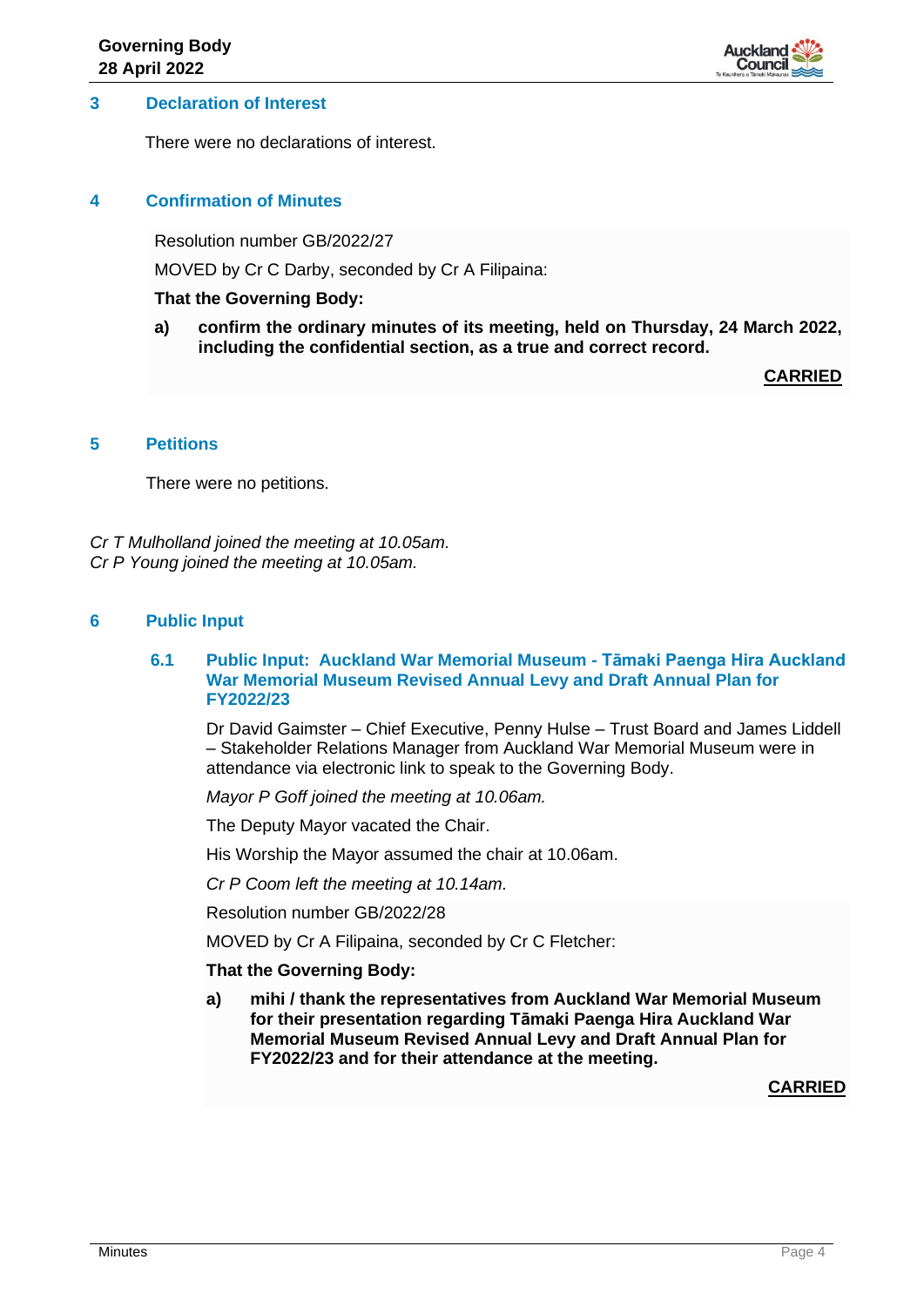

### **3 Declaration of Interest**

There were no declarations of interest.

### **4 Confirmation of Minutes**

Resolution number GB/2022/27

MOVED by Cr C Darby, seconded by Cr A Filipaina:

#### **That the Governing Body:**

**a) confirm the ordinary minutes of its meeting, held on Thursday, 24 March 2022, including the confidential section, as a true and correct record.**

**CARRIED**

# **5 Petitions**

There were no petitions.

*Cr T Mulholland joined the meeting at 10.05am. Cr P Young joined the meeting at 10.05am.*

# **6 Public Input**

#### **6.1 Public Input: Auckland War Memorial Museum - Tāmaki Paenga Hira Auckland War Memorial Museum Revised Annual Levy and Draft Annual Plan for FY2022/23**

Dr David Gaimster – Chief Executive, Penny Hulse – Trust Board and James Liddell – Stakeholder Relations Manager from Auckland War Memorial Museum were in attendance via electronic link to speak to the Governing Body.

*Mayor P Goff joined the meeting at 10.06am.* 

The Deputy Mayor vacated the Chair.

His Worship the Mayor assumed the chair at 10.06am.

*Cr P Coom left the meeting at 10.14am.*

Resolution number GB/2022/28

MOVED by Cr A Filipaina, seconded by Cr C Fletcher:

#### **That the Governing Body:**

**a) mihi / thank the representatives from Auckland War Memorial Museum for their presentation regarding Tāmaki Paenga Hira Auckland War Memorial Museum Revised Annual Levy and Draft Annual Plan for FY2022/23 and for their attendance at the meeting.**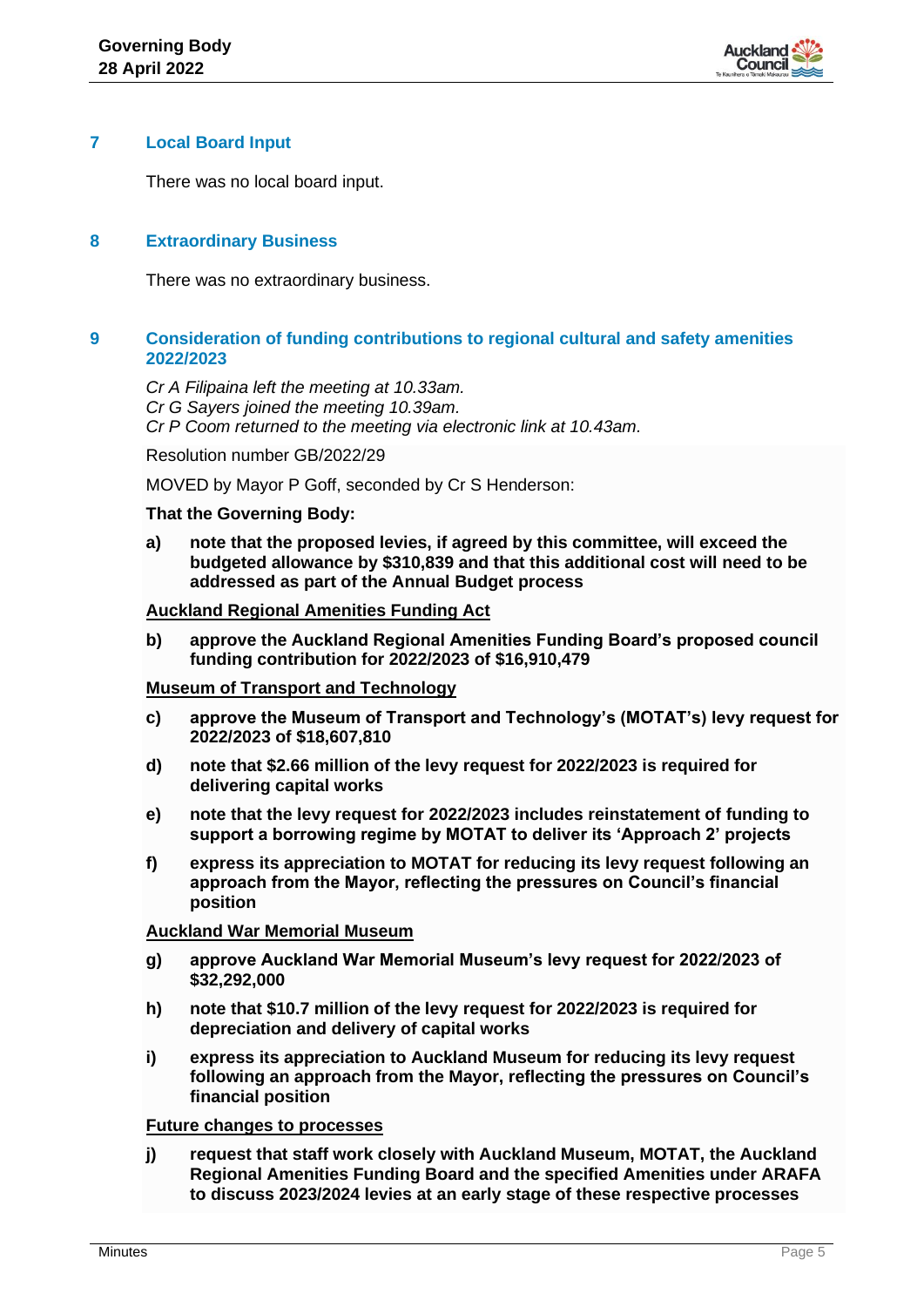

### **7 Local Board Input**

There was no local board input.

# **8 Extraordinary Business**

There was no extraordinary business.

# **9 Consideration of funding contributions to regional cultural and safety amenities 2022/2023**

*Cr A Filipaina left the meeting at 10.33am. Cr G Sayers joined the meeting 10.39am. Cr P Coom returned to the meeting via electronic link at 10.43am.*

Resolution number GB/2022/29

MOVED by Mayor P Goff, seconded by Cr S Henderson:

#### **That the Governing Body:**

**a) note that the proposed levies, if agreed by this committee, will exceed the budgeted allowance by \$310,839 and that this additional cost will need to be addressed as part of the Annual Budget process** 

#### **Auckland Regional Amenities Funding Act**

**b) approve the Auckland Regional Amenities Funding Board's proposed council funding contribution for 2022/2023 of \$16,910,479**

#### **Museum of Transport and Technology**

- **c) approve the Museum of Transport and Technology's (MOTAT's) levy request for 2022/2023 of \$18,607,810**
- **d) note that \$2.66 million of the levy request for 2022/2023 is required for delivering capital works**
- **e) note that the levy request for 2022/2023 includes reinstatement of funding to support a borrowing regime by MOTAT to deliver its 'Approach 2' projects**
- **f) express its appreciation to MOTAT for reducing its levy request following an approach from the Mayor, reflecting the pressures on Council's financial position**

#### **Auckland War Memorial Museum**

- **g) approve Auckland War Memorial Museum's levy request for 2022/2023 of \$32,292,000**
- **h) note that \$10.7 million of the levy request for 2022/2023 is required for depreciation and delivery of capital works**
- **i) express its appreciation to Auckland Museum for reducing its levy request following an approach from the Mayor, reflecting the pressures on Council's financial position**

#### **Future changes to processes**

**j) request that staff work closely with Auckland Museum, MOTAT, the Auckland Regional Amenities Funding Board and the specified Amenities under ARAFA to discuss 2023/2024 levies at an early stage of these respective processes**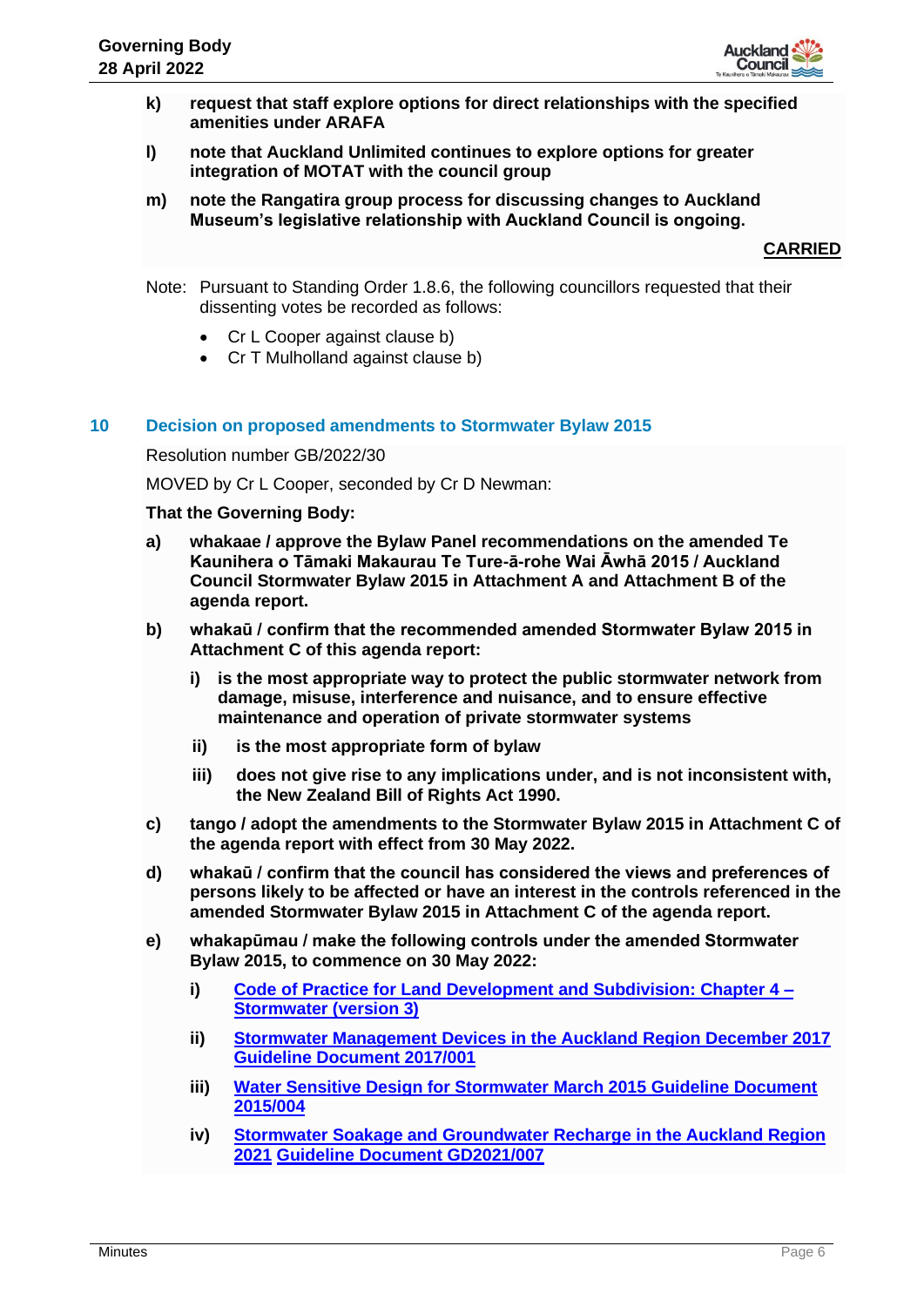

- **k) request that staff explore options for direct relationships with the specified amenities under ARAFA**
- **l) note that Auckland Unlimited continues to explore options for greater integration of MOTAT with the council group**
- **m) note the Rangatira group process for discussing changes to Auckland Museum's legislative relationship with Auckland Council is ongoing.**

**CARRIED**

- Note: Pursuant to Standing Order 1.8.6, the following councillors requested that their dissenting votes be recorded as follows:
	- Cr L Cooper against clause b)
	- Cr T Mulholland against clause b)

#### **10 Decision on proposed amendments to Stormwater Bylaw 2015**

Resolution number GB/2022/30

MOVED by Cr L Cooper, seconded by Cr D Newman:

#### **That the Governing Body:**

- **a) whakaae / approve the Bylaw Panel recommendations on the amended Te Kaunihera o Tāmaki Makaurau Te Ture-ā-rohe Wai Āwhā 2015 / Auckland Council Stormwater Bylaw 2015 in Attachment A and Attachment B of the agenda report.**
- **b) whakaū / confirm that the recommended amended Stormwater Bylaw 2015 in Attachment C of this agenda report:**
	- **i) is the most appropriate way to protect the public stormwater network from damage, misuse, interference and nuisance, and to ensure effective maintenance and operation of private stormwater systems**
	- **ii) is the most appropriate form of bylaw**
	- **iii) does not give rise to any implications under, and is not inconsistent with, the New Zealand Bill of Rights Act 1990.**
- **c) tango / adopt the amendments to the Stormwater Bylaw 2015 in Attachment C of the agenda report with effect from 30 May 2022.**
- **d) whakaū / confirm that the council has considered the views and preferences of persons likely to be affected or have an interest in the controls referenced in the amended Stormwater Bylaw 2015 in Attachment C of the agenda report.**
- **e) whakapūmau / make the following controls under the amended Stormwater Bylaw 2015, to commence on 30 May 2022:**
	- **i) [Code of Practice for Land Development and Subdivision: Chapter 4 –](http://www.aucklanddesignmanual.co.nz/regulations/codes-of-practice/stormwatercodeofpractice) [Stormwater](http://www.aucklanddesignmanual.co.nz/regulations/codes-of-practice/stormwatercodeofpractice) (version 3)**
	- **ii) [Stormwater Management Devices in the Auckland Region December 2017](http://content.aucklanddesignmanual.co.nz/regulations/technical-guidance/Documents/GD01%20SWMD%20(Amendment%202).pdf) [Guideline Document 2017/001](http://content.aucklanddesignmanual.co.nz/regulations/technical-guidance/Documents/GD01%20SWMD%20(Amendment%202).pdf)**
	- **iii) [Water Sensitive Design for Stormwater March 2015](http://www.aucklanddesignmanual.co.nz/regulations/technical-guidance/wsd) Guideline Document [2015/004](http://www.aucklanddesignmanual.co.nz/regulations/technical-guidance/wsd)**
	- **iv) [Stormwater Soakage and Groundwater Recharge in the Auckland Region](http://content.aucklanddesignmanual.co.nz/regulations/technical-guidance/Documents/GD07%20Soakage%20and%20Groundwater%20Recharge%20Guide.pdf)  2021 [Guideline Document GD2021/007](http://content.aucklanddesignmanual.co.nz/regulations/technical-guidance/Documents/GD07%20Soakage%20and%20Groundwater%20Recharge%20Guide.pdf)**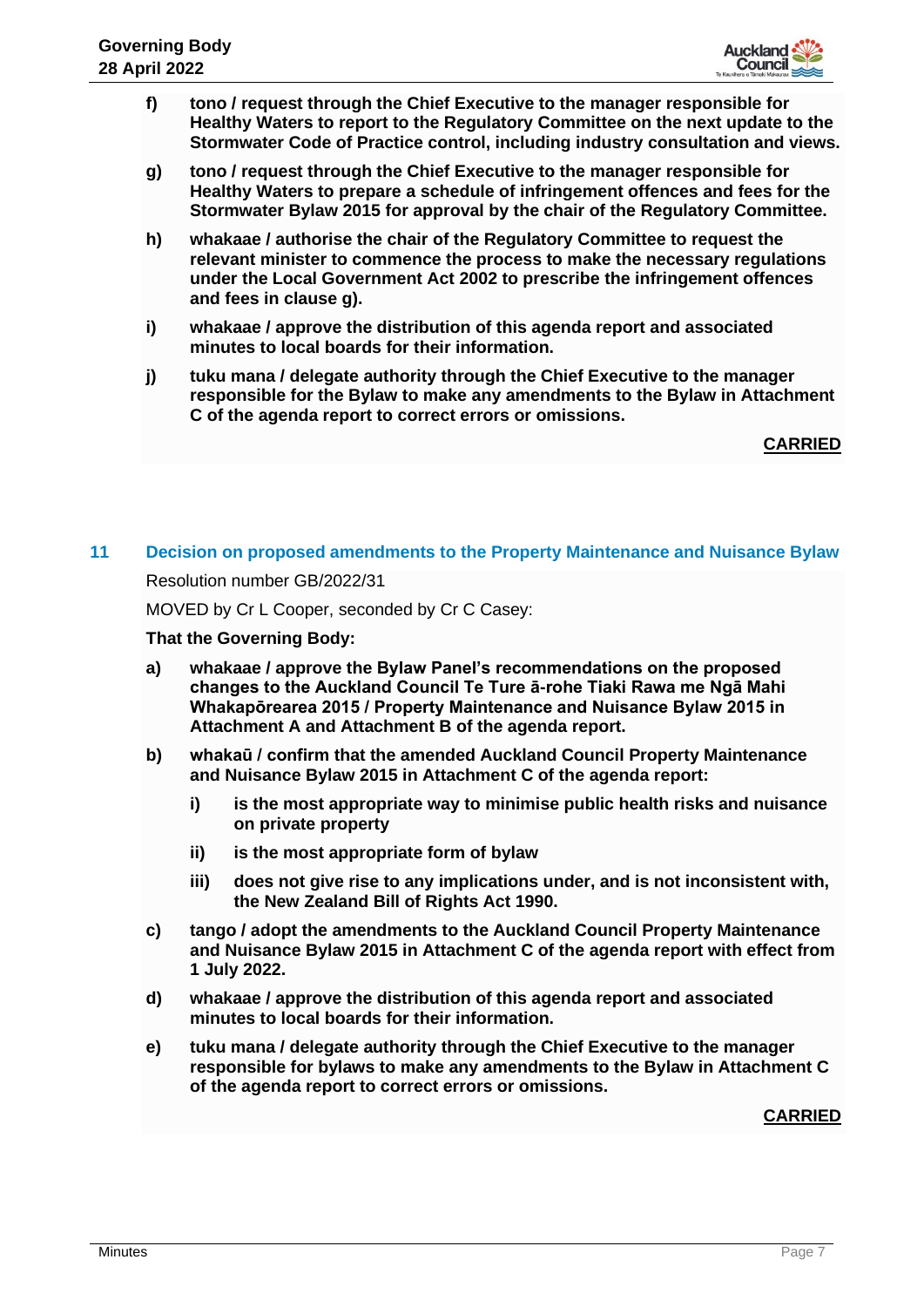

- **f) tono / request through the Chief Executive to the manager responsible for Healthy Waters to report to the Regulatory Committee on the next update to the Stormwater Code of Practice control, including industry consultation and views.**
- **g) tono / request through the Chief Executive to the manager responsible for Healthy Waters to prepare a schedule of infringement offences and fees for the Stormwater Bylaw 2015 for approval by the chair of the Regulatory Committee.**
- **h) whakaae / authorise the chair of the Regulatory Committee to request the relevant minister to commence the process to make the necessary regulations under the Local Government Act 2002 to prescribe the infringement offences and fees in clause g).**
- **i) whakaae / approve the distribution of this agenda report and associated minutes to local boards for their information.**
- **j) tuku mana / delegate authority through the Chief Executive to the manager responsible for the Bylaw to make any amendments to the Bylaw in Attachment C of the agenda report to correct errors or omissions.**

**CARRIED**

# **11 Decision on proposed amendments to the Property Maintenance and Nuisance Bylaw** Resolution number GB/2022/31 MOVED by Cr L Cooper, seconded by Cr C Casey:

# **That the Governing Body:**

- **a) whakaae / approve the Bylaw Panel's recommendations on the proposed changes to the Auckland Council Te Ture ā-rohe Tiaki Rawa me Ngā Mahi Whakapōrearea 2015 / Property Maintenance and Nuisance Bylaw 2015 in Attachment A and Attachment B of the agenda report.**
- **b) whakaū / confirm that the amended Auckland Council Property Maintenance and Nuisance Bylaw 2015 in Attachment C of the agenda report:**
	- **i) is the most appropriate way to minimise public health risks and nuisance on private property**
	- **ii) is the most appropriate form of bylaw**
	- **iii) does not give rise to any implications under, and is not inconsistent with, the New Zealand Bill of Rights Act 1990.**
- **c) tango / adopt the amendments to the Auckland Council Property Maintenance and Nuisance Bylaw 2015 in Attachment C of the agenda report with effect from 1 July 2022.**
- **d) whakaae / approve the distribution of this agenda report and associated minutes to local boards for their information.**
- **e) tuku mana / delegate authority through the Chief Executive to the manager responsible for bylaws to make any amendments to the Bylaw in Attachment C of the agenda report to correct errors or omissions.**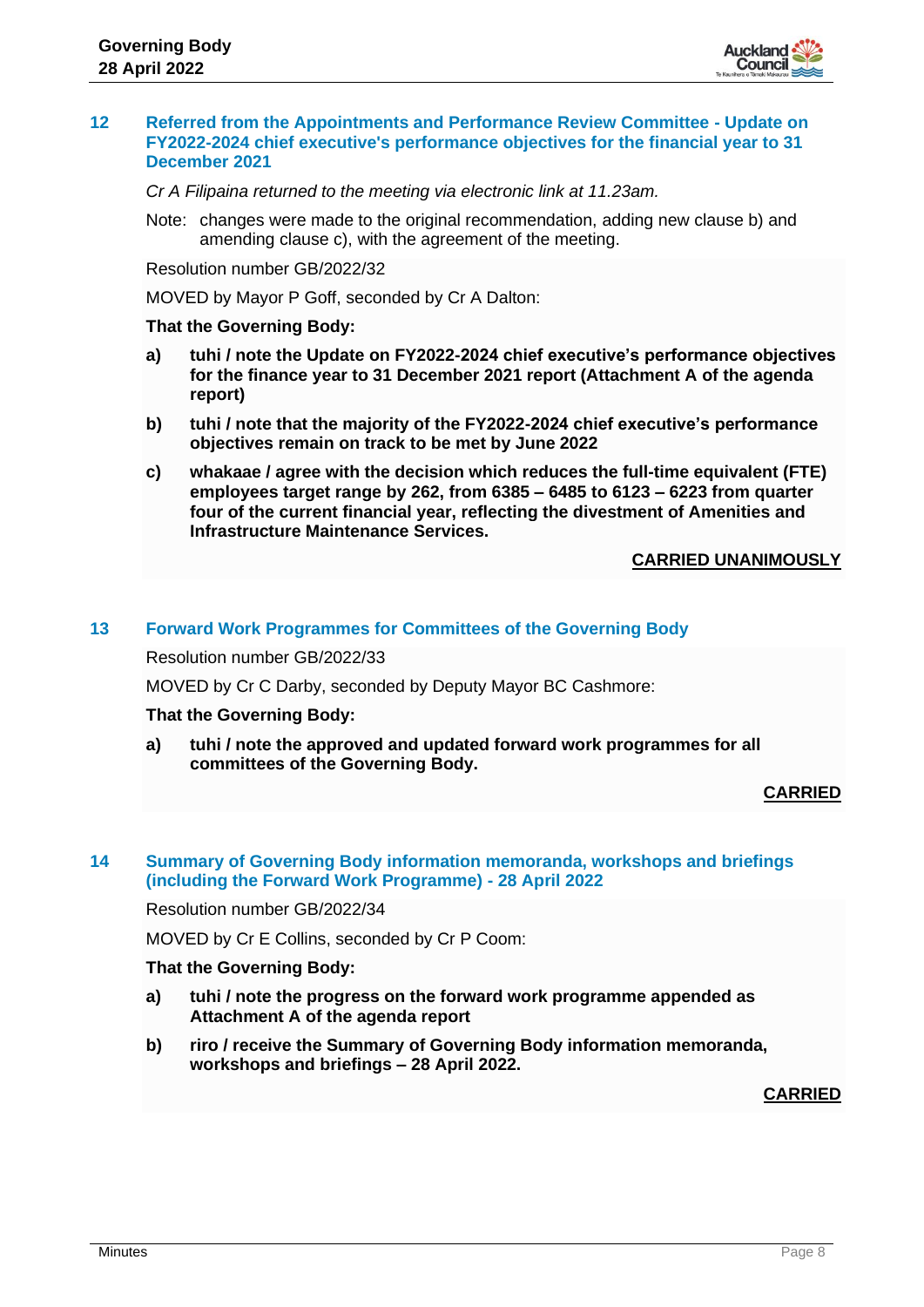

#### **12 Referred from the Appointments and Performance Review Committee - Update on FY2022-2024 chief executive's performance objectives for the financial year to 31 December 2021**

*Cr A Filipaina returned to the meeting via electronic link at 11.23am.*

Note: changes were made to the original recommendation, adding new clause b) and amending clause c), with the agreement of the meeting.

Resolution number GB/2022/32

MOVED by Mayor P Goff, seconded by Cr A Dalton:

#### **That the Governing Body:**

- **a) tuhi / note the Update on FY2022-2024 chief executive's performance objectives for the finance year to 31 December 2021 report (Attachment A of the agenda report)**
- **b) tuhi / note that the majority of the FY2022-2024 chief executive's performance objectives remain on track to be met by June 2022**
- **c) whakaae / agree with the decision which reduces the full-time equivalent (FTE) employees target range by 262, from 6385 – 6485 to 6123 – 6223 from quarter four of the current financial year, reflecting the divestment of Amenities and Infrastructure Maintenance Services.**

#### **CARRIED UNANIMOUSLY**

#### **13 Forward Work Programmes for Committees of the Governing Body**

Resolution number GB/2022/33

MOVED by Cr C Darby, seconded by Deputy Mayor BC Cashmore:

#### **That the Governing Body:**

**a) tuhi / note the approved and updated forward work programmes for all committees of the Governing Body.**

#### **CARRIED**

# **14 Summary of Governing Body information memoranda, workshops and briefings (including the Forward Work Programme) - 28 April 2022**

Resolution number GB/2022/34

MOVED by Cr E Collins, seconded by Cr P Coom:

#### **That the Governing Body:**

- **a) tuhi / note the progress on the forward work programme appended as Attachment A of the agenda report**
- **b) riro / receive the Summary of Governing Body information memoranda, workshops and briefings – 28 April 2022.**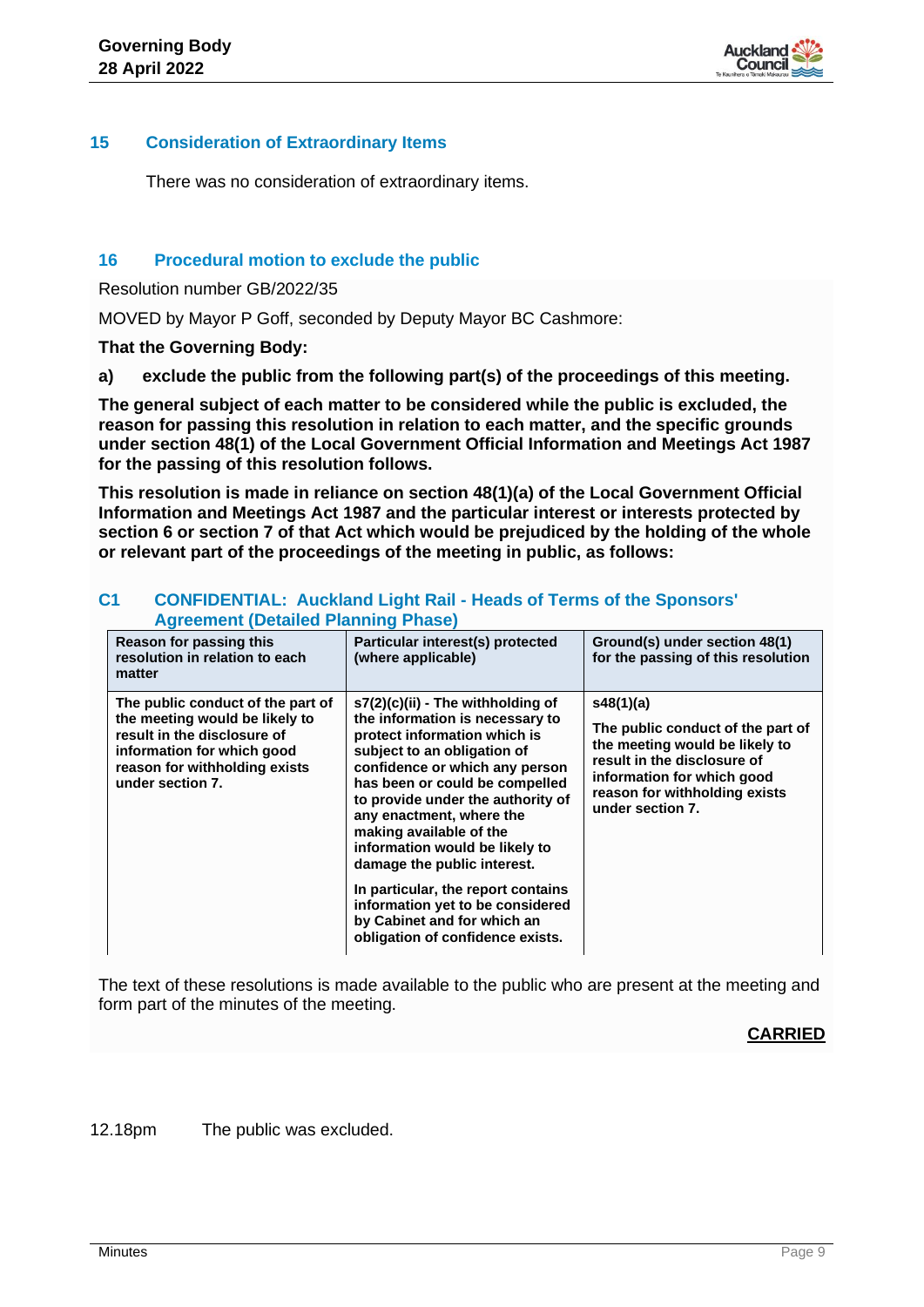

# **15 Consideration of Extraordinary Items**

There was no consideration of extraordinary items.

# **16 Procedural motion to exclude the public**

Resolution number GB/2022/35

MOVED by Mayor P Goff, seconded by Deputy Mayor BC Cashmore:

**That the Governing Body:**

**a) exclude the public from the following part(s) of the proceedings of this meeting.**

**The general subject of each matter to be considered while the public is excluded, the reason for passing this resolution in relation to each matter, and the specific grounds under section 48(1) of the Local Government Official Information and Meetings Act 1987 for the passing of this resolution follows.**

**This resolution is made in reliance on section 48(1)(a) of the Local Government Official Information and Meetings Act 1987 and the particular interest or interests protected by section 6 or section 7 of that Act which would be prejudiced by the holding of the whole or relevant part of the proceedings of the meeting in public, as follows:**

|                                                                                                                                                                                       | Agreement (Detailed Fiaming Filase)                                                                                                                                                                                                                                                                                                                                                                                                                                           |                                                                                                                                                                                                    |  |  |  |  |
|---------------------------------------------------------------------------------------------------------------------------------------------------------------------------------------|-------------------------------------------------------------------------------------------------------------------------------------------------------------------------------------------------------------------------------------------------------------------------------------------------------------------------------------------------------------------------------------------------------------------------------------------------------------------------------|----------------------------------------------------------------------------------------------------------------------------------------------------------------------------------------------------|--|--|--|--|
| Reason for passing this<br>resolution in relation to each<br>matter                                                                                                                   | Particular interest(s) protected<br>(where applicable)                                                                                                                                                                                                                                                                                                                                                                                                                        | Ground(s) under section 48(1)<br>for the passing of this resolution                                                                                                                                |  |  |  |  |
| The public conduct of the part of<br>the meeting would be likely to<br>result in the disclosure of<br>information for which good<br>reason for withholding exists<br>under section 7. | s7(2)(c)(ii) - The withholding of<br>the information is necessary to<br>protect information which is<br>subject to an obligation of<br>confidence or which any person<br>has been or could be compelled<br>to provide under the authority of<br>any enactment, where the<br>making available of the<br>information would be likely to<br>damage the public interest.<br>In particular, the report contains<br>information yet to be considered<br>by Cabinet and for which an | s48(1)(a)<br>The public conduct of the part of<br>the meeting would be likely to<br>result in the disclosure of<br>information for which good<br>reason for withholding exists<br>under section 7. |  |  |  |  |
|                                                                                                                                                                                       | obligation of confidence exists.                                                                                                                                                                                                                                                                                                                                                                                                                                              |                                                                                                                                                                                                    |  |  |  |  |

#### **C1 CONFIDENTIAL: Auckland Light Rail - Heads of Terms of the Sponsors' Agreement (Detailed Planning Phase)**

The text of these resolutions is made available to the public who are present at the meeting and form part of the minutes of the meeting.

# **CARRIED**

12.18pm The public was excluded.